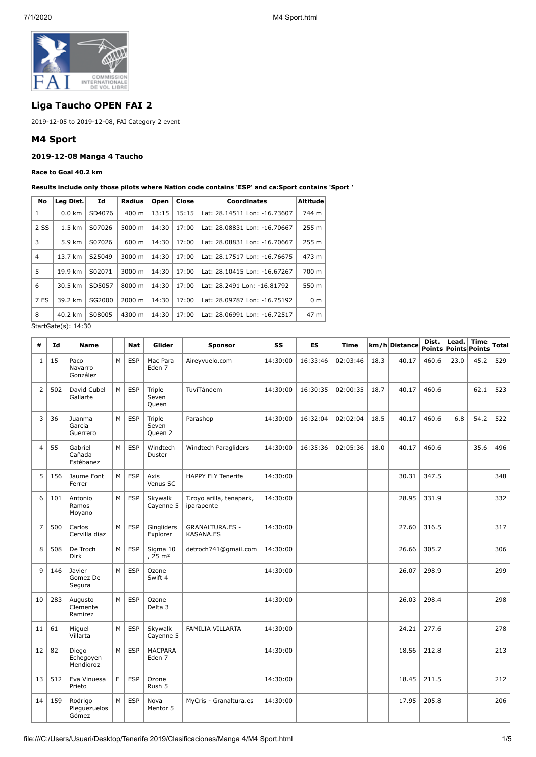

# **Liga Taucho OPEN FAI 2**

2019-12-05 to 2019-12-08, FAI Category 2 event

## **M4 Sport**

## **2019-12-08 Manga 4 Taucho**

#### **Race to Goal 40.2 km**

**Results include only those pilots where Nation code contains 'ESP' and ca:Sport contains 'Sport '**

| No   | Leg Dist.        | Id     | Radius          | Open  | Close | <b>Coordinates</b>           | Altitude       |
|------|------------------|--------|-----------------|-------|-------|------------------------------|----------------|
| 1    | $0.0 \text{ km}$ | SD4076 | $400 \text{ m}$ | 13:15 | 15:15 | Lat: 28.14511 Lon: -16.73607 | 744 m          |
| 2SS  | $1.5 \text{ km}$ | S07026 | 5000 m          | 14:30 | 17:00 | Lat: 28.08831 Lon: -16.70667 | 255 m          |
| 3    | 5.9 km           | S07026 | 600 m           | 14:30 | 17:00 | Lat: 28.08831 Lon: -16.70667 | 255 m          |
| 4    | 13.7 km          | S25049 | 3000 m          | 14:30 | 17:00 | Lat: 28.17517 Lon: -16.76675 | 473 m          |
| 5    | 19.9 km          | S02071 | 3000 m          | 14:30 | 17:00 | Lat: 28.10415 Lon: -16.67267 | 700 m          |
| 6    | 30.5 km          | SD5057 | 8000 m          | 14:30 | 17:00 | Lat: 28.2491 Lon: -16.81792  | 550 m          |
| 7 ES | 39.2 km          | SG2000 | 2000 m          | 14:30 | 17:00 | Lat: 28.09787 Lon: -16.75192 | 0 <sub>m</sub> |
| 8    | 40.2 km          | S08005 | 4300 m          | 14:30 | 17:00 | Lat: 28.06991 Lon: -16.72517 | 47 m           |

StartGate(s): 14:30

| #              | Id  | <b>Name</b>                      |   | <b>Nat</b> | Glider                              | <b>Sponsor</b>                             | SS       | <b>ES</b> | Time     |      | km/h Distance | Dist. | Lead.<br>Points Points Points | <b>Time</b> | Total |
|----------------|-----|----------------------------------|---|------------|-------------------------------------|--------------------------------------------|----------|-----------|----------|------|---------------|-------|-------------------------------|-------------|-------|
| $\mathbf{1}$   | 15  | Paco<br>Navarro<br>González      | M | <b>ESP</b> | Mac Para<br>Eden <sub>7</sub>       | Aireyvuelo.com                             | 14:30:00 | 16:33:46  | 02:03:46 | 18.3 | 40.17         | 460.6 | 23.0                          | 45.2        | 529   |
| $\overline{2}$ | 502 | David Cubel<br>Gallarte          | M | <b>ESP</b> | Triple<br>Seven<br>Queen            | TuviTándem                                 | 14:30:00 | 16:30:35  | 02:00:35 | 18.7 | 40.17         | 460.6 |                               | 62.1        | 523   |
| 3              | 36  | Juanma<br>Garcia<br>Guerrero     | M | <b>ESP</b> | Triple<br>Seven<br>Queen 2          | Parashop                                   | 14:30:00 | 16:32:04  | 02:02:04 | 18.5 | 40.17         | 460.6 | 6.8                           | 54.2        | 522   |
| 4              | 55  | Gabriel<br>Cañada<br>Estébanez   | M | <b>ESP</b> | Windtech<br>Duster                  | Windtech Paragliders                       | 14:30:00 | 16:35:36  | 02:05:36 | 18.0 | 40.17         | 460.6 |                               | 35.6        | 496   |
| 5              | 156 | Jaume Font<br>Ferrer             | M | <b>ESP</b> | Axis<br>Venus SC                    | <b>HAPPY FLY Tenerife</b>                  | 14:30:00 |           |          |      | 30.31         | 347.5 |                               |             | 348   |
| 6              | 101 | Antonio<br>Ramos<br>Moyano       | M | <b>ESP</b> | Skywalk<br>Cayenne 5                | T.royo arilla, tenapark,<br>iparapente     | 14:30:00 |           |          |      | 28.95         | 331.9 |                               |             | 332   |
| $\overline{7}$ | 500 | Carlos<br>Cervilla diaz          | M | <b>ESP</b> | Gingliders<br>Explorer              | <b>GRANALTURA.ES -</b><br><b>KASANA.ES</b> | 14:30:00 |           |          |      | 27.60         | 316.5 |                               |             | 317   |
| 8              | 508 | De Troch<br><b>Dirk</b>          | м | <b>ESP</b> | Sigma 10<br>$, 25 \, \text{m}^2$    | detroch741@gmail.com                       | 14:30:00 |           |          |      | 26.66         | 305.7 |                               |             | 306   |
| 9              | 146 | Javier<br>Gomez De<br>Segura     | M | <b>ESP</b> | Ozone<br>Swift 4                    |                                            | 14:30:00 |           |          |      | 26.07         | 298.9 |                               |             | 299   |
| 10             | 283 | Augusto<br>Clemente<br>Ramirez   | M | <b>ESP</b> | Ozone<br>Delta <sub>3</sub>         |                                            | 14:30:00 |           |          |      | 26.03         | 298.4 |                               |             | 298   |
| 11             | 61  | Miguel<br>Villarta               | M | <b>ESP</b> | Skywalk<br>Cayenne 5                | FAMILIA VILLARTA                           | 14:30:00 |           |          |      | 24.21         | 277.6 |                               |             | 278   |
| 12             | 82  | Diego<br>Echegoyen<br>Mendioroz  | M | <b>ESP</b> | <b>MACPARA</b><br>Eden <sub>7</sub> |                                            | 14:30:00 |           |          |      | 18.56         | 212.8 |                               |             | 213   |
| 13             | 512 | Eva Vinuesa<br>Prieto            | F | <b>ESP</b> | Ozone<br>Rush 5                     |                                            | 14:30:00 |           |          |      | 18.45         | 211.5 |                               |             | 212   |
| 14             | 159 | Rodrigo<br>Plequezuelos<br>Gómez | M | <b>ESP</b> | Nova<br>Mentor 5                    | MyCris - Granaltura.es                     | 14:30:00 |           |          |      | 17.95         | 205.8 |                               |             | 206   |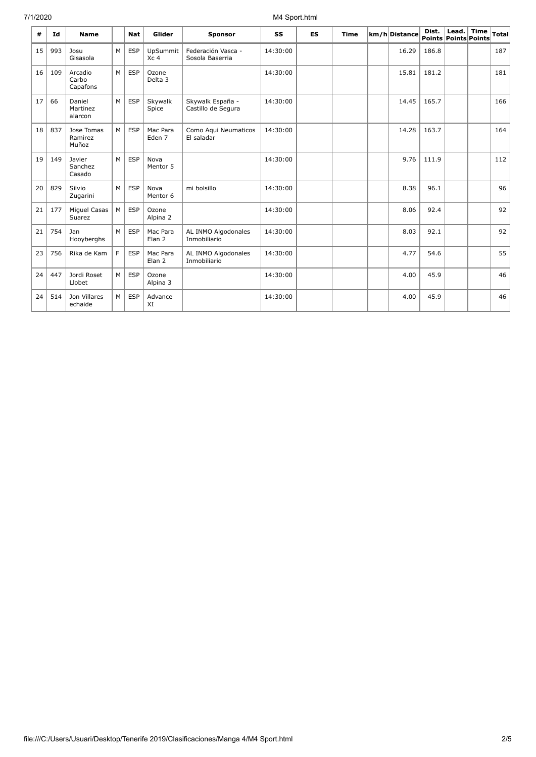## 7/1/2020 M4 Sport.html

| #  | Id  | <b>Name</b>                    |   | <b>Nat</b> | Glider                             | <b>Sponsor</b>                         | <b>SS</b> | <b>ES</b> | Time | km/h Distance | Dist. | Lead.<br>Points Points Points | <b>Time</b> | <b>Total</b> |
|----|-----|--------------------------------|---|------------|------------------------------------|----------------------------------------|-----------|-----------|------|---------------|-------|-------------------------------|-------------|--------------|
| 15 | 993 | Josu<br>Gisasola               | M | <b>ESP</b> | <b>UpSummit</b><br>Xc <sub>4</sub> | Federación Vasca -<br>Sosola Baserria  | 14:30:00  |           |      | 16.29         | 186.8 |                               |             | 187          |
| 16 | 109 | Arcadio<br>Carbo<br>Capafons   | M | <b>ESP</b> | Ozone<br>Delta 3                   |                                        | 14:30:00  |           |      | 15.81         | 181.2 |                               |             | 181          |
| 17 | 66  | Daniel<br>Martinez<br>alarcon  | M | <b>ESP</b> | Skywalk<br>Spice                   | Skywalk España -<br>Castillo de Segura | 14:30:00  |           |      | 14.45         | 165.7 |                               |             | 166          |
| 18 | 837 | Jose Tomas<br>Ramirez<br>Muñoz | M | <b>ESP</b> | Mac Para<br>Eden 7                 | Como Aqui Neumaticos<br>El saladar     | 14:30:00  |           |      | 14.28         | 163.7 |                               |             | 164          |
| 19 | 149 | Javier<br>Sanchez<br>Casado    | M | <b>ESP</b> | Nova<br>Mentor 5                   |                                        | 14:30:00  |           |      | 9.76          | 111.9 |                               |             | 112          |
| 20 | 829 | Silvio<br>Zugarini             | M | <b>ESP</b> | Nova<br>Mentor 6                   | mi bolsillo                            | 14:30:00  |           |      | 8.38          | 96.1  |                               |             | 96           |
| 21 | 177 | <b>Miquel Casas</b><br>Suarez  | M | <b>ESP</b> | Ozone<br>Alpina 2                  |                                        | 14:30:00  |           |      | 8.06          | 92.4  |                               |             | 92           |
| 21 | 754 | Jan<br>Hooyberghs              | M | <b>ESP</b> | Mac Para<br>Elan 2                 | AL INMO Algodonales<br>Inmobiliario    | 14:30:00  |           |      | 8.03          | 92.1  |                               |             | 92           |
| 23 | 756 | Rika de Kam                    | F | <b>ESP</b> | Mac Para<br>Elan <sub>2</sub>      | AL INMO Algodonales<br>Inmobiliario    | 14:30:00  |           |      | 4.77          | 54.6  |                               |             | 55           |
| 24 | 447 | Jordi Roset<br>Llobet          | M | <b>ESP</b> | Ozone<br>Alpina 3                  |                                        | 14:30:00  |           |      | 4.00          | 45.9  |                               |             | 46           |
| 24 | 514 | Jon Villares<br>echaide        | M | <b>ESP</b> | Advance<br>XI                      |                                        | 14:30:00  |           |      | 4.00          | 45.9  |                               |             | 46           |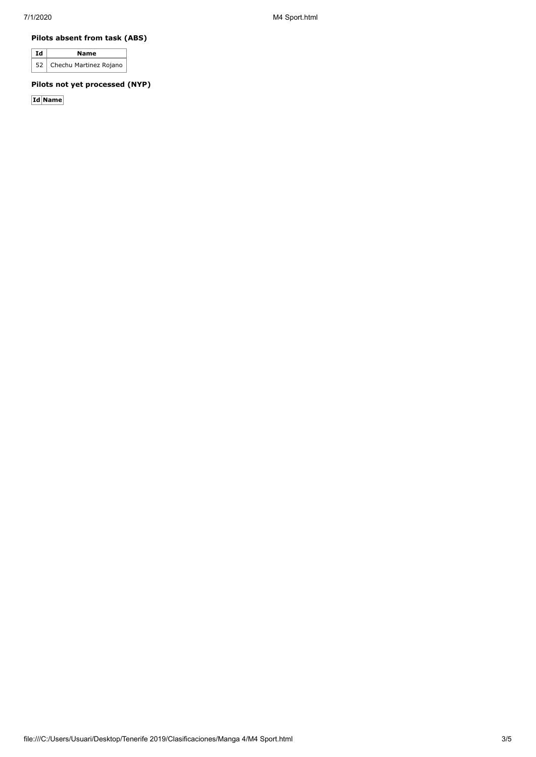#### **Pilots absent from task (ABS)**

| Ιd | Name                        |
|----|-----------------------------|
|    | 52   Chechu Martinez Rojano |

#### **Pilots not yet processed (NYP)**

**Id Name**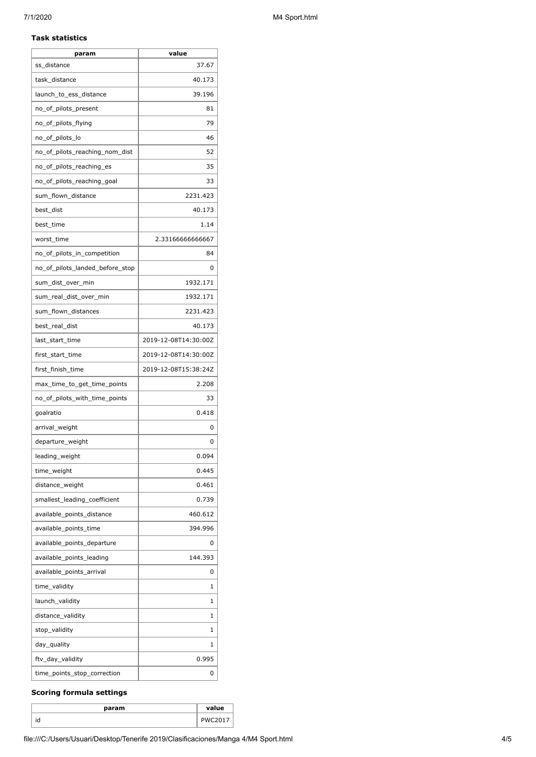#### **Task statistics**

| param                           | value                |
|---------------------------------|----------------------|
| ss distance                     | 37.67                |
| task distance                   | 40.173               |
| launch_to_ess_distance          | 39.196               |
| no_of_pilots_present            | 81                   |
| no_of_pilots_flying             | 79                   |
| no_of_pilots_lo                 | 46                   |
| no_of_pilots_reaching_nom_dist  | 52                   |
| no_of_pilots_reaching_es        | 35                   |
| no_of_pilots_reaching_goal      | 33                   |
| sum_flown_distance              | 2231.423             |
| best_dist                       | 40.173               |
| best_time                       | 1.14                 |
| worst_time                      | 2.33166666666667     |
| no_of_pilots_in_competition     | 84                   |
| no_of_pilots_landed_before_stop | 0                    |
| sum dist over min               | 1932.171             |
| sum_real_dist_over_min          | 1932.171             |
| sum_flown_distances             | 2231.423             |
| best_real_dist                  | 40.173               |
| last_start_time                 | 2019-12-08T14:30:00Z |
| first_start_time                | 2019-12-08T14:30:00Z |
| first_finish_time               | 2019-12-08T15:38:24Z |
| max_time_to_get_time_points     | 2.208                |
| no_of_pilots_with_time_points   | 33                   |
| goalratio                       | 0.418                |
| arrival_weight                  | 0                    |
| departure_weight                | 0                    |
| leading_weight                  | 0.094                |
| time_weight                     | 0.445                |
| distance_weight                 | 0.461                |
| smallest leading coefficient    | 0.739                |
| available_points_distance       | 460.612              |
| available_points_time           | 394.996              |
| available_points_departure      | 0                    |
| available_points_leading        | 144.393              |
| available_points_arrival        | 0                    |
| time_validity                   | 1                    |
| launch_validity                 | 1                    |
| distance_validity               | 1                    |
| stop_validity                   | 1                    |
| day_quality                     | 1                    |
| ftv_day_validity                | 0.995                |
| time_points_stop_correction     | 0                    |

## **Scoring formula settings**

| param | value                |
|-------|----------------------|
| ١a    | -<br>DI <sub>M</sub> |